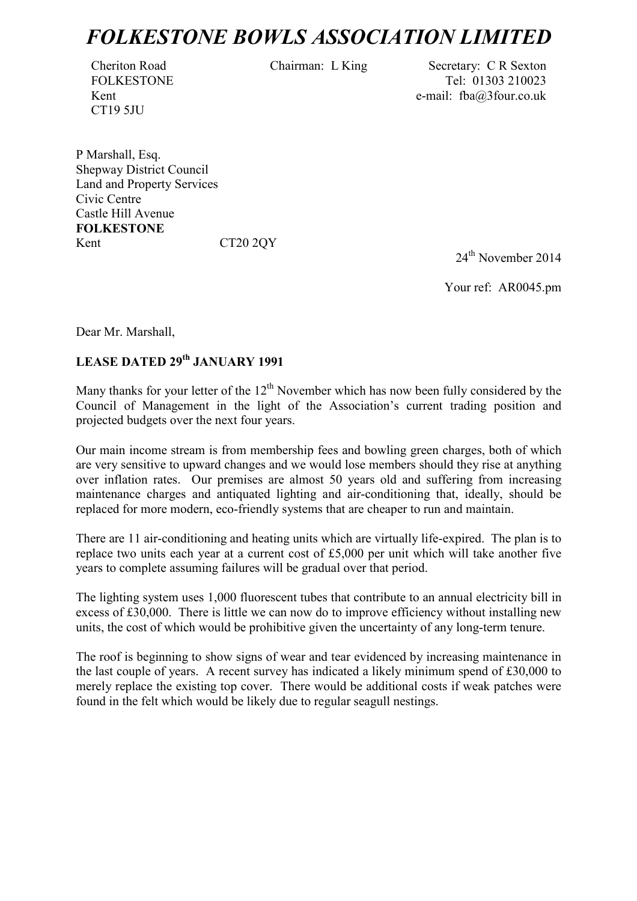## **FOLKESTONE BOWLS ASSOCIATION LIMITED**

CT19 5JU

Cheriton Road Chairman: L King Secretary: C R Sexton FOLKESTONE Tel: 01303 210023 Kent e-mail: fba@3four.co.uk

P Marshall, Esq. Shepway District Council Land and Property Services Civic Centre Castle Hill Avenue **FOLKESTONE** Kent CT20 2OY

24<sup>th</sup> November 2014

Your ref: AR0045.pm

Dear Mr. Marshall,

## **LEASE DATED 29<sup>th</sup> JANUARY 1991**

Many thanks for your letter of the  $12<sup>th</sup>$  November which has now been fully considered by the Council of Management in the light of the Association's current trading position and projected budgets over the next four years.

Our main income stream is from membership fees and bowling green charges, both of which are very sensitive to upward changes and we would lose members should they rise at anything over inflation rates. Our premises are almost 50 years old and suffering from increasing maintenance charges and antiquated lighting and air-conditioning that, ideally, should be replaced for more modern, eco-friendly systems that are cheaper to run and maintain.

There are 11 air-conditioning and heating units which are virtually life-expired. The plan is to replace two units each year at a current cost of £5,000 per unit which will take another five years to complete assuming failures will be gradual over that period.

The lighting system uses 1,000 fluorescent tubes that contribute to an annual electricity bill in excess of £30,000. There is little we can now do to improve efficiency without installing new units, the cost of which would be prohibitive given the uncertainty of any long-term tenure.

The roof is beginning to show signs of wear and tear evidenced by increasing maintenance in the last couple of years. A recent survey has indicated a likely minimum spend of £30,000 to merely replace the existing top cover. There would be additional costs if weak patches were found in the felt which would be likely due to regular seagull nestings.